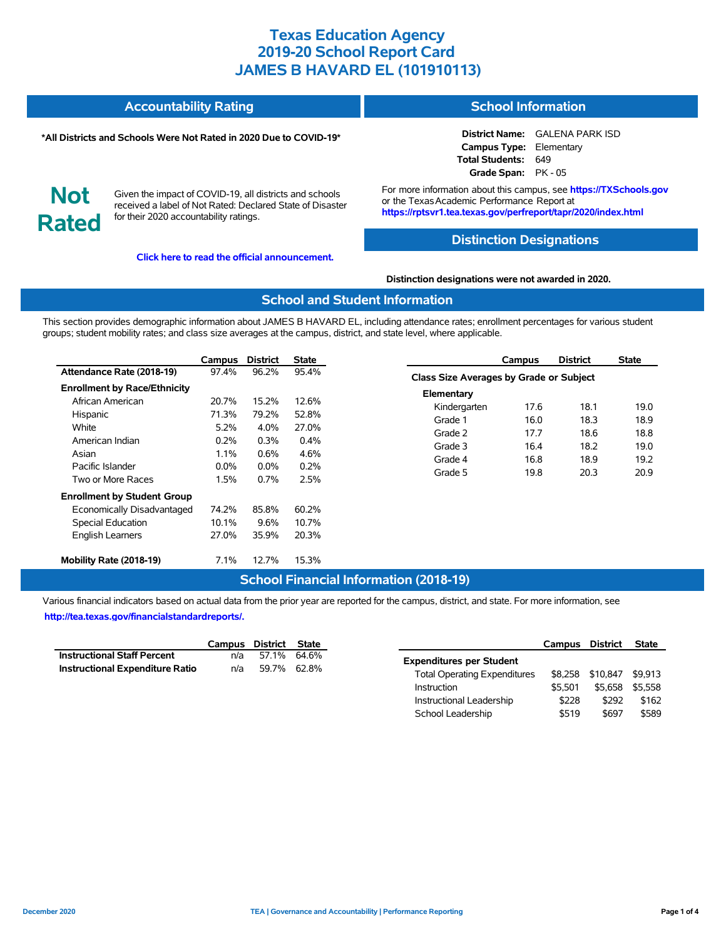#### **Accountability Rating School Information**

### **\*All Districts and Schools Were Not Rated in 2020 Due to COVID-19\***

**District Name:** GALENA PARK ISD **Campus Type:** Elementary **Total Students:** 649 **Grade Span:** PK - 05

**Not Rated**

Given the impact of COVID-19, all districts and schools received a label of Not Rated: Declared State of Disaster for their 2020 accountability ratings.

**[Click here to read the official announcement.](https://tea.texas.gov/about-tea/news-and-multimedia/correspondence/taa-letters/every-student-succeeds-act-essa-waiver-approval-2020-state-academic-accountability)**

For more information about this campus, see **https://TXSchools.gov** or the TexasAcademic Performance Report at **https://rptsvr1.tea.texas.gov/perfreport/tapr/2020/index.html**

### **Distinction Designations**

#### **Distinction designations were not awarded in 2020.**

### **School and Student Information**

This section provides demographic information about JAMES B HAVARD EL, including attendance rates; enrollment percentages for various student groups; student mobility rates; and class size averages at the campus, district, and state level, where applicable.

|                                     | Campus  | <b>District</b> | State   |
|-------------------------------------|---------|-----------------|---------|
| Attendance Rate (2018-19)           | 97.4%   | 96.2%           | 95.4%   |
| <b>Enrollment by Race/Ethnicity</b> |         |                 |         |
| African American                    | 20.7%   | 15.2%           | 12.6%   |
| Hispanic                            | 71.3%   | 79.2%           | 52.8%   |
| White                               | 5.2%    | $4.0\%$         | 27.0%   |
| American Indian                     | 0.2%    | $0.3\%$         | $0.4\%$ |
| Asian                               | $1.1\%$ | $0.6\%$         | 4.6%    |
| Pacific Islander                    | $0.0\%$ | $0.0\%$         | 0.2%    |
| Two or More Races                   | 1.5%    | 0.7%            | 2.5%    |
| <b>Enrollment by Student Group</b>  |         |                 |         |
| Economically Disadvantaged          | 74.2%   | 85.8%           | 60.2%   |
| <b>Special Education</b>            | 10.1%   | 9.6%            | 10.7%   |
| <b>English Learners</b>             | 27.0%   | 35.9%           | 20.3%   |
| Mobility Rate (2018-19)             | $7.1\%$ | 12.7%           | 15.3%   |

#### **Campus District State Class Size Averages by Grade or Subject Elementary** Kindergarten 17.6 18.1 19.0 Grade 1 16.0 18.3 18.9 Grade 2 17.7 18.6 18.8 Grade 3 16.4 18.2 19.0 Grade 4 16.8 18.9 19.2 Grade 5 19.8 20.3 20.9

## **School Financial Information (2018-19)**

Various financial indicators based on actual data from the prior year are reported for the campus, district, and state. For more information, see **[http://tea.texas.gov/financialstandardreports/.](http://tea.texas.gov/financialstandardreports/)**

|                                        | Campus District State |             |  |
|----------------------------------------|-----------------------|-------------|--|
| <b>Instructional Staff Percent</b>     | n/a                   | 57.1% 64.6% |  |
| <b>Instructional Expenditure Ratio</b> | n/a                   | 59.7% 62.8% |  |

|                                     | Campus District |          | <b>State</b> |
|-------------------------------------|-----------------|----------|--------------|
| <b>Expenditures per Student</b>     |                 |          |              |
| <b>Total Operating Expenditures</b> | \$8.258         | \$10.847 | \$9.913      |
| Instruction                         | \$5.501         | \$5.658  | \$5.558      |
| Instructional Leadership            | \$228           | \$292    | \$162        |
| School Leadership                   | \$519           | \$697    | \$589        |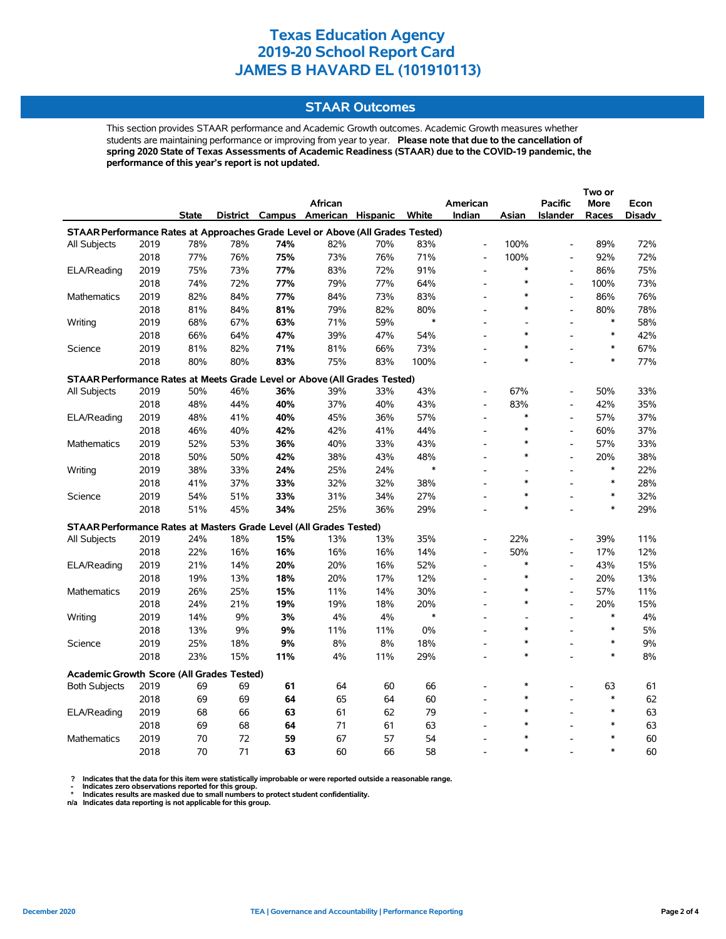### **STAAR Outcomes**

This section provides STAAR performance and Academic Growth outcomes. Academic Growth measures whether students are maintaining performance or improving from year to year. **Please note that due to the cancellation of spring 2020 State of Texas Assessments of Academic Readiness (STAAR) due to the COVID-19 pandemic, the performance of this year's report is not updated.**

|                                                                                |      |              |     |     | <b>African</b>                    |     |        | American                 |        | <b>Pacific</b>               | More   | Econ   |
|--------------------------------------------------------------------------------|------|--------------|-----|-----|-----------------------------------|-----|--------|--------------------------|--------|------------------------------|--------|--------|
|                                                                                |      | <b>State</b> |     |     | District Campus American Hispanic |     | White  | Indian                   | Asian  | <b>Islander</b>              | Races  | Disadv |
| STAAR Performance Rates at Approaches Grade Level or Above (All Grades Tested) |      |              |     |     |                                   |     |        |                          |        |                              |        |        |
| All Subjects                                                                   | 2019 | 78%          | 78% | 74% | 82%                               | 70% | 83%    | $\overline{\phantom{a}}$ | 100%   | $\overline{a}$               | 89%    | 72%    |
|                                                                                | 2018 | 77%          | 76% | 75% | 73%                               | 76% | 71%    | $\overline{\phantom{a}}$ | 100%   | $\qquad \qquad \blacksquare$ | 92%    | 72%    |
| ELA/Reading                                                                    | 2019 | 75%          | 73% | 77% | 83%                               | 72% | 91%    | $\blacksquare$           | $\ast$ | $\overline{a}$               | 86%    | 75%    |
|                                                                                | 2018 | 74%          | 72% | 77% | 79%                               | 77% | 64%    | $\overline{a}$           | $\ast$ | $\overline{a}$               | 100%   | 73%    |
| <b>Mathematics</b>                                                             | 2019 | 82%          | 84% | 77% | 84%                               | 73% | 83%    | $\blacksquare$           | *      | $\qquad \qquad \blacksquare$ | 86%    | 76%    |
|                                                                                | 2018 | 81%          | 84% | 81% | 79%                               | 82% | 80%    | $\overline{a}$           | $\ast$ | $\overline{a}$               | 80%    | 78%    |
| Writing                                                                        | 2019 | 68%          | 67% | 63% | 71%                               | 59% | $\ast$ | L,                       |        | L,                           | $\ast$ | 58%    |
|                                                                                | 2018 | 66%          | 64% | 47% | 39%                               | 47% | 54%    |                          | $\ast$ |                              | $\ast$ | 42%    |
| Science                                                                        | 2019 | 81%          | 82% | 71% | 81%                               | 66% | 73%    | $\overline{a}$           |        |                              | $\ast$ | 67%    |
|                                                                                | 2018 | 80%          | 80% | 83% | 75%                               | 83% | 100%   |                          | $\ast$ |                              | $\ast$ | 77%    |
| STAAR Performance Rates at Meets Grade Level or Above (All Grades Tested)      |      |              |     |     |                                   |     |        |                          |        |                              |        |        |
| All Subjects                                                                   | 2019 | 50%          | 46% | 36% | 39%                               | 33% | 43%    | $\overline{\phantom{a}}$ | 67%    |                              | 50%    | 33%    |
|                                                                                | 2018 | 48%          | 44% | 40% | 37%                               | 40% | 43%    | $\overline{a}$           | 83%    | $\overline{a}$               | 42%    | 35%    |
| ELA/Reading                                                                    | 2019 | 48%          | 41% | 40% | 45%                               | 36% | 57%    | $\overline{a}$           | $\ast$ | $\overline{\phantom{a}}$     | 57%    | 37%    |
|                                                                                | 2018 | 46%          | 40% | 42% | 42%                               | 41% | 44%    |                          | $\ast$ | L,                           | 60%    | 37%    |
| Mathematics                                                                    | 2019 | 52%          | 53% | 36% | 40%                               | 33% | 43%    | $\overline{a}$           | $\ast$ | $\overline{a}$               | 57%    | 33%    |
|                                                                                | 2018 | 50%          | 50% | 42% | 38%                               | 43% | 48%    | $\overline{\phantom{a}}$ | $\ast$ | $\overline{a}$               | 20%    | 38%    |
| Writing                                                                        | 2019 | 38%          | 33% | 24% | 25%                               | 24% | $\ast$ | $\overline{\phantom{a}}$ |        | $\overline{a}$               | $\ast$ | 22%    |
|                                                                                | 2018 | 41%          | 37% | 33% | 32%                               | 32% | 38%    | ۰                        | $\ast$ |                              | $\ast$ | 28%    |
| Science                                                                        | 2019 | 54%          | 51% | 33% | 31%                               | 34% | 27%    |                          | $\ast$ | $\overline{a}$               | $\ast$ | 32%    |
|                                                                                | 2018 | 51%          | 45% | 34% | 25%                               | 36% | 29%    | $\overline{a}$           |        |                              | $\ast$ | 29%    |
| STAAR Performance Rates at Masters Grade Level (All Grades Tested)             |      |              |     |     |                                   |     |        |                          |        |                              |        |        |
| All Subjects                                                                   | 2019 | 24%          | 18% | 15% | 13%                               | 13% | 35%    | $\overline{\phantom{a}}$ | 22%    | $\qquad \qquad \blacksquare$ | 39%    | 11%    |
|                                                                                | 2018 | 22%          | 16% | 16% | 16%                               | 16% | 14%    | $\overline{\phantom{a}}$ | 50%    | $\overline{a}$               | 17%    | 12%    |
| ELA/Reading                                                                    | 2019 | 21%          | 14% | 20% | 20%                               | 16% | 52%    | $\overline{\phantom{a}}$ | *      | $\frac{1}{2}$                | 43%    | 15%    |
|                                                                                | 2018 | 19%          | 13% | 18% | 20%                               | 17% | 12%    | $\overline{\phantom{a}}$ | $\ast$ | $\overline{a}$               | 20%    | 13%    |
| Mathematics                                                                    | 2019 | 26%          | 25% | 15% | 11%                               | 14% | 30%    |                          | $\ast$ | $\overline{a}$               | 57%    | 11%    |
|                                                                                | 2018 | 24%          | 21% | 19% | 19%                               | 18% | 20%    | $\overline{a}$           | $\ast$ | $\overline{a}$               | 20%    | 15%    |
| Writing                                                                        | 2019 | 14%          | 9%  | 3%  | 4%                                | 4%  | $\ast$ | L.                       | ÷.     | L,                           | $\ast$ | 4%     |
|                                                                                | 2018 | 13%          | 9%  | 9%  | 11%                               | 11% | 0%     | $\overline{a}$           | $\ast$ |                              | $\ast$ | 5%     |
| Science                                                                        | 2019 | 25%          | 18% | 9%  | 8%                                | 8%  | 18%    | $\overline{\phantom{a}}$ | *      | $\overline{a}$               | $\ast$ | 9%     |
|                                                                                | 2018 | 23%          | 15% | 11% | 4%                                | 11% | 29%    | $\overline{\phantom{a}}$ | $\ast$ | $\overline{a}$               | $\ast$ | 8%     |
|                                                                                |      |              |     |     |                                   |     |        |                          |        |                              |        |        |
| <b>Academic Growth Score (All Grades Tested)</b>                               |      |              |     |     |                                   |     |        |                          |        |                              |        |        |
| <b>Both Subjects</b>                                                           | 2019 | 69           | 69  | 61  | 64                                | 60  | 66     |                          | $\ast$ |                              | 63     | 61     |
|                                                                                | 2018 | 69           | 69  | 64  | 65                                | 64  | 60     | $\overline{a}$           |        |                              | $\ast$ | 62     |
| ELA/Reading                                                                    | 2019 | 68           | 66  | 63  | 61                                | 62  | 79     | L.                       | $\ast$ |                              | $\ast$ | 63     |
|                                                                                | 2018 | 69           | 68  | 64  | 71                                | 61  | 63     |                          | $\ast$ |                              | $\ast$ | 63     |
| <b>Mathematics</b>                                                             | 2019 | 70           | 72  | 59  | 67                                | 57  | 54     |                          |        |                              | $\ast$ | 60     |
|                                                                                | 2018 | 70           | 71  | 63  | 60                                | 66  | 58     |                          |        |                              | $\ast$ | 60     |

? Indicates that the data for this item were statistically improbable or were reported outside a reasonable range.<br>- Indicates zero observations reported for this group.<br>\* Indicates results are masked due to small numbers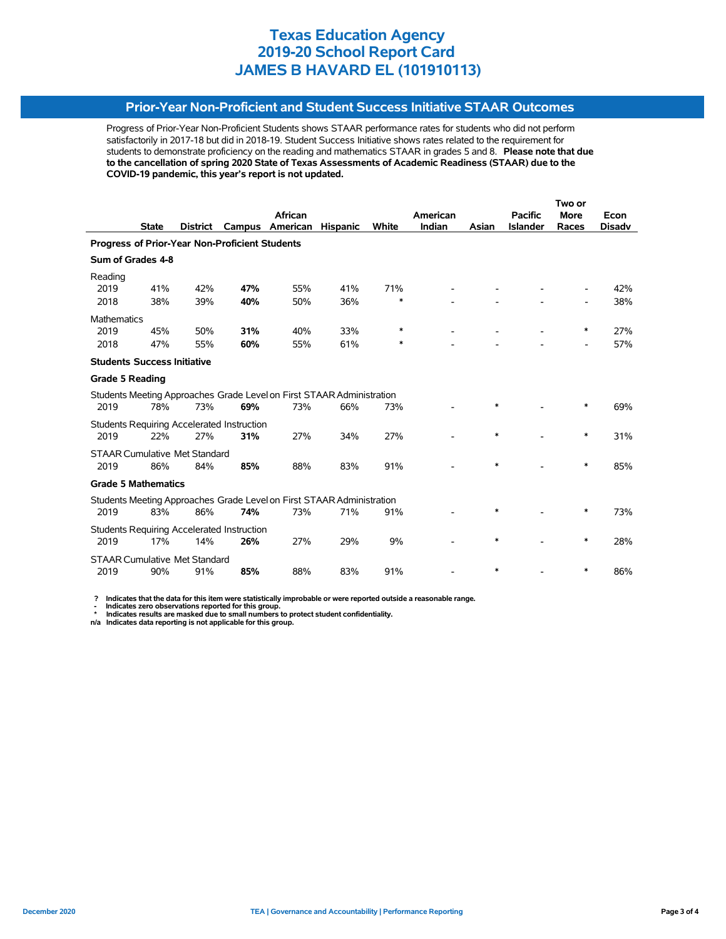## **Prior-Year Non-Proficient and Student Success Initiative STAAR Outcomes**

Progress of Prior-Year Non-Proficient Students shows STAAR performance rates for students who did not perform satisfactorily in 2017-18 but did in 2018-19. Student Success Initiative shows rates related to the requirement for students to demonstrate proficiency on the reading and mathematics STAAR in grades 5 and 8. **Please note that due to the cancellation of spring 2020 State of Texas Assessments of Academic Readiness (STAAR) due to the COVID-19 pandemic, this year's report is not updated.**

|                                                                       |              |                                      |                                                   |                                                                       | Two or          |        |          |        |                 |                          |               |
|-----------------------------------------------------------------------|--------------|--------------------------------------|---------------------------------------------------|-----------------------------------------------------------------------|-----------------|--------|----------|--------|-----------------|--------------------------|---------------|
|                                                                       |              |                                      |                                                   | <b>African</b>                                                        |                 |        | American |        | <b>Pacific</b>  | <b>More</b>              | Econ          |
|                                                                       | <b>State</b> | <b>District</b>                      | Campus                                            | American                                                              | <b>Hispanic</b> | White  | Indian   | Asian  | <b>Islander</b> | Races                    | <b>Disady</b> |
| Progress of Prior-Year Non-Proficient Students                        |              |                                      |                                                   |                                                                       |                 |        |          |        |                 |                          |               |
| Sum of Grades 4-8                                                     |              |                                      |                                                   |                                                                       |                 |        |          |        |                 |                          |               |
| Reading                                                               |              |                                      |                                                   |                                                                       |                 |        |          |        |                 |                          |               |
| 2019                                                                  | 41%          | 42%                                  | 47%                                               | 55%                                                                   | 41%             | 71%    |          |        |                 |                          | 42%           |
| 2018                                                                  | 38%          | 39%                                  | 40%                                               | 50%                                                                   | 36%             | $\ast$ |          |        |                 |                          | 38%           |
| Mathematics                                                           |              |                                      |                                                   |                                                                       |                 |        |          |        |                 |                          |               |
| 2019                                                                  | 45%          | 50%                                  | 31%                                               | 40%                                                                   | 33%             | ∗      |          |        |                 | ∗                        | 27%           |
| 2018                                                                  | 47%          | 55%                                  | 60%                                               | 55%                                                                   | 61%             | ∗      |          |        |                 | $\overline{\phantom{0}}$ | 57%           |
| <b>Students Success Initiative</b>                                    |              |                                      |                                                   |                                                                       |                 |        |          |        |                 |                          |               |
| <b>Grade 5 Reading</b>                                                |              |                                      |                                                   |                                                                       |                 |        |          |        |                 |                          |               |
|                                                                       |              |                                      |                                                   | Students Meeting Approaches Grade Level on First STAAR Administration |                 |        |          |        |                 |                          |               |
| 2019                                                                  | 78%          | 73%                                  | 69%                                               | 73%                                                                   | 66%             | 73%    |          | $\ast$ |                 | *                        | 69%           |
|                                                                       |              |                                      | <b>Students Requiring Accelerated Instruction</b> |                                                                       |                 |        |          |        |                 |                          |               |
| 2019                                                                  | 22%          | 27%                                  | 31%                                               | 27%                                                                   | 34%             | 27%    |          | $\ast$ |                 | $\ast$                   | 31%           |
| <b>STAAR Cumulative Met Standard</b>                                  |              |                                      |                                                   |                                                                       |                 |        |          |        |                 |                          |               |
| 2019                                                                  | 86%          | 84%                                  | 85%                                               | 88%                                                                   | 83%             | 91%    |          | $\ast$ |                 | $\ast$                   | 85%           |
| <b>Grade 5 Mathematics</b>                                            |              |                                      |                                                   |                                                                       |                 |        |          |        |                 |                          |               |
| Students Meeting Approaches Grade Level on First STAAR Administration |              |                                      |                                                   |                                                                       |                 |        |          |        |                 |                          |               |
| 2019                                                                  | 83%          | 86%                                  | 74%                                               | 73%                                                                   | 71%             | 91%    |          | *      |                 | ∗                        | 73%           |
|                                                                       |              |                                      | <b>Students Requiring Accelerated Instruction</b> |                                                                       |                 |        |          |        |                 |                          |               |
| 2019                                                                  | 17%          | 14%                                  | 26%                                               | 27%                                                                   | 29%             | 9%     |          | $\ast$ |                 | $\ast$                   | 28%           |
|                                                                       |              | <b>STAAR Cumulative Met Standard</b> |                                                   |                                                                       |                 |        |          |        |                 |                          |               |
| 2019                                                                  | 90%          | 91%                                  | 85%                                               | 88%                                                                   | 83%             | 91%    |          | *      |                 | *                        | 86%           |

 **? Indicates that the data for this item were statistically improbable or were reported outside a reasonable range.**

 **- Indicates zero observations reported for this group. \* Indicates results are masked due to small numbers to protect student confidentiality.**

**n/a Indicates data reporting is not applicable for this group.**